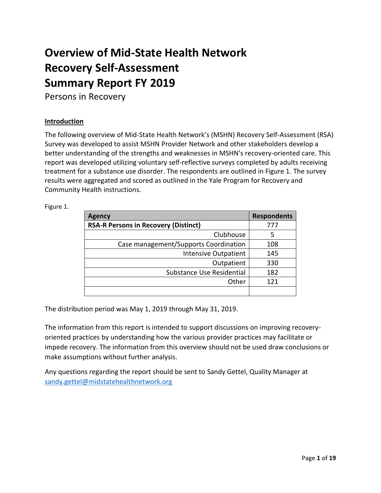# **Overview of Mid-State Health Network Recovery Self-Assessment Summary Report FY 2019**

Persons in Recovery

#### **Introduction**

The following overview of Mid-State Health Network's (MSHN) Recovery Self-Assessment (RSA) Survey was developed to assist MSHN Provider Network and other stakeholders develop a better understanding of the strengths and weaknesses in MSHN's recovery-oriented care. This report was developed utilizing voluntary self-reflective surveys completed by adults receiving treatment for a substance use disorder. The respondents are outlined in Figure 1. The survey results were aggregated and scored as outlined in the Yale Program for Recovery and Community Health instructions.

| <b>Agency</b>                               | <b>Respondents</b> |
|---------------------------------------------|--------------------|
| <b>RSA-R Persons in Recovery (Distinct)</b> | 777                |
| Clubhouse                                   | 5                  |
| Case management/Supports Coordination       | 108                |
| <b>Intensive Outpatient</b>                 | 145                |
| Outpatient                                  | 330                |
| Substance Use Residential                   | 182                |
| Other                                       | 121                |
|                                             |                    |

Figure 1.

The distribution period was May 1, 2019 through May 31, 2019.

The information from this report is intended to support discussions on improving recoveryoriented practices by understanding how the various provider practices may facilitate or impede recovery. The information from this overview should not be used draw conclusions or make assumptions without further analysis.

Any questions regarding the report should be sent to Sandy Gettel, Quality Manager at [sandy.gettel@midstatehealthnetwork.org](mailto:sandy.gettel@midstatehealthnetwork.org)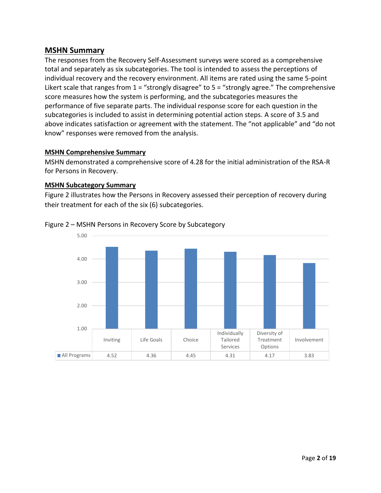# **MSHN Summary**

The responses from the Recovery Self-Assessment surveys were scored as a comprehensive total and separately as six subcategories. The tool is intended to assess the perceptions of individual recovery and the recovery environment. All items are rated using the same 5-point Likert scale that ranges from  $1 =$  "strongly disagree" to  $5 =$  "strongly agree." The comprehensive score measures how the system is performing, and the subcategories measures the performance of five separate parts. The individual response score for each question in the subcategories is included to assist in determining potential action steps. A score of 3.5 and above indicates satisfaction or agreement with the statement. The "not applicable" and "do not know" responses were removed from the analysis.

#### **MSHN Comprehensive Summary**

MSHN demonstrated a comprehensive score of 4.28 for the initial administration of the RSA-R for Persons in Recovery.

#### **MSHN Subcategory Summary**

Figure 2 illustrates how the Persons in Recovery assessed their perception of recovery during their treatment for each of the six (6) subcategories.



#### Figure 2 – MSHN Persons in Recovery Score by Subcategory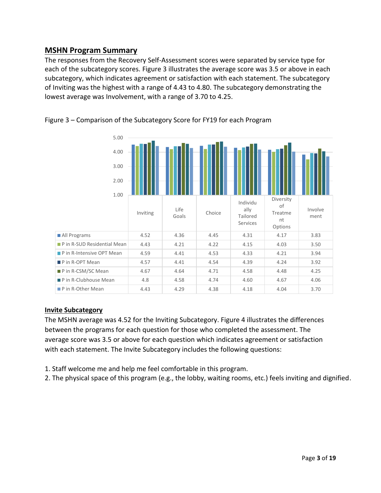# **MSHN Program Summary**

The responses from the Recovery Self-Assessment scores were separated by service type for each of the subcategory scores. Figure 3 illustrates the average score was 3.5 or above in each subcategory, which indicates agreement or satisfaction with each statement. The subcategory of Inviting was the highest with a range of 4.43 to 4.80. The subcategory demonstrating the lowest average was Involvement, with a range of 3.70 to 4.25.



Figure 3 – Comparison of the Subcategory Score for FY19 for each Program

# **Invite Subcategory**

The MSHN average was 4.52 for the Inviting Subcategory. Figure 4 illustrates the differences between the programs for each question for those who completed the assessment. The average score was 3.5 or above for each question which indicates agreement or satisfaction with each statement. The Invite Subcategory includes the following questions:

- 1. Staff welcome me and help me feel comfortable in this program.
- 2. The physical space of this program (e.g., the lobby, waiting rooms, etc.) feels inviting and dignified.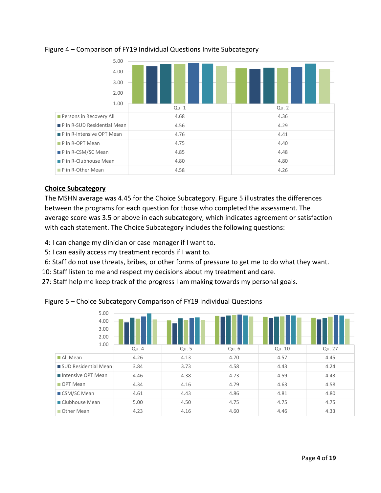

#### Figure 4 – Comparison of FY19 Individual Questions Invite Subcategory

#### **Choice Subcategory**

The MSHN average was 4.45 for the Choice Subcategory. Figure 5 illustrates the differences between the programs for each question for those who completed the assessment. The average score was 3.5 or above in each subcategory, which indicates agreement or satisfaction with each statement. The Choice Subcategory includes the following questions:

- 4: I can change my clinician or case manager if I want to.
- 5: I can easily access my treatment records if I want to.
- 6: Staff do not use threats, bribes, or other forms of pressure to get me to do what they want.
- 10: Staff listen to me and respect my decisions about my treatment and care.
- 27: Staff help me keep track of the progress I am making towards my personal goals.

Figure 5 – Choice Subcategory Comparison of FY19 Individual Questions

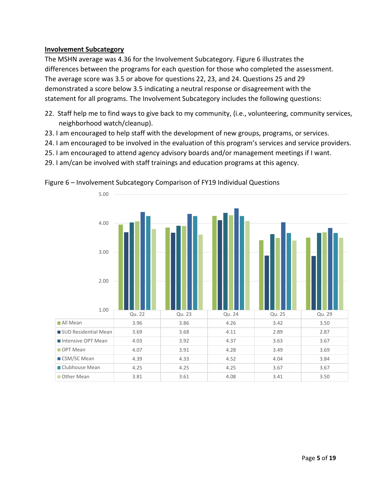#### **Involvement Subcategory**

The MSHN average was 4.36 for the Involvement Subcategory. Figure 6 illustrates the differences between the programs for each question for those who completed the assessment. The average score was 3.5 or above for questions 22, 23, and 24. Questions 25 and 29 demonstrated a score below 3.5 indicating a neutral response or disagreement with the statement for all programs. The Involvement Subcategory includes the following questions:

- 22. Staff help me to find ways to give back to my community, (i.e., volunteering, community services, neighborhood watch/cleanup).
- 23. I am encouraged to help staff with the development of new groups, programs, or services.
- 24. I am encouraged to be involved in the evaluation of this program's services and service providers.
- 25. I am encouraged to attend agency advisory boards and/or management meetings if I want.
- 29. I am/can be involved with staff trainings and education programs at this agency.



Figure 6 – Involvement Subcategory Comparison of FY19 Individual Questions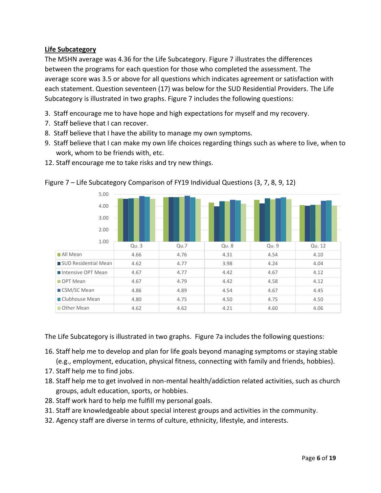# **Life Subcategory**

The MSHN average was 4.36 for the Life Subcategory. Figure 7 illustrates the differences between the programs for each question for those who completed the assessment. The average score was 3.5 or above for all questions which indicates agreement or satisfaction with each statement. Question seventeen (17) was below for the SUD Residential Providers. The Life Subcategory is illustrated in two graphs. Figure 7 includes the following questions:

- 3. Staff encourage me to have hope and high expectations for myself and my recovery.
- 7. Staff believe that I can recover.
- 8. Staff believe that I have the ability to manage my own symptoms.

12. Staff encourage me to take risks and try new things.

9. Staff believe that I can make my own life choices regarding things such as where to live, when to work, whom to be friends with, etc.



Figure 7 – Life Subcategory Comparison of FY19 Individual Questions (3, 7, 8, 9, 12)

The Life Subcategory is illustrated in two graphs. Figure 7a includes the following questions:

- 16. Staff help me to develop and plan for life goals beyond managing symptoms or staying stable (e.g., employment, education, physical fitness, connecting with family and friends, hobbies).
- 17. Staff help me to find jobs.
- 18. Staff help me to get involved in non-mental health/addiction related activities, such as church groups, adult education, sports, or hobbies.
- 28. Staff work hard to help me fulfill my personal goals.
- 31. Staff are knowledgeable about special interest groups and activities in the community.
- 32. Agency staff are diverse in terms of culture, ethnicity, lifestyle, and interests.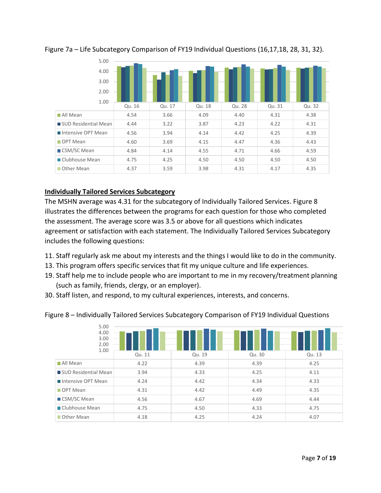

# Figure 7a – Life Subcategory Comparison of FY19 Individual Questions (16,17,18, 28, 31, 32).

# **Individually Tailored Services Subcategory**

The MSHN average was 4.31 for the subcategory of Individually Tailored Services. Figure 8 illustrates the differences between the programs for each question for those who completed the assessment. The average score was 3.5 or above for all questions which indicates agreement or satisfaction with each statement. The Individually Tailored Services Subcategory includes the following questions:

- 11. Staff regularly ask me about my interests and the things I would like to do in the community.
- 13. This program offers specific services that fit my unique culture and life experiences.
- 19. Staff help me to include people who are important to me in my recovery/treatment planning (such as family, friends, clergy, or an employer).
- 30. Staff listen, and respond, to my cultural experiences, interests, and concerns.

|  |  | Figure 8 - Individually Tailored Services Subcategory Comparison of FY19 Individual Questions |  |  |
|--|--|-----------------------------------------------------------------------------------------------|--|--|
|  |  |                                                                                               |  |  |

| 5.00<br>4.00<br>3.00<br>2.00<br>1.00 |        |        |        |        |  |  |  |  |  |  |
|--------------------------------------|--------|--------|--------|--------|--|--|--|--|--|--|
|                                      | Qu. 11 | Qu. 19 | Qu. 30 | Qu. 13 |  |  |  |  |  |  |
| All Mean                             | 4.22   | 4.39   | 4.39   | 4.25   |  |  |  |  |  |  |
| SUD Residential Mean                 | 3.94   | 4.33   | 4.25   | 4.11   |  |  |  |  |  |  |
| Intensive OPT Mean                   | 4.24   | 4.42   | 4.34   | 4.33   |  |  |  |  |  |  |
| OPT Mean                             | 4.31   | 4.42   | 4.49   | 4.35   |  |  |  |  |  |  |
| ■ CSM/SC Mean                        | 4.56   | 4.67   | 4.69   | 4.44   |  |  |  |  |  |  |
| Clubhouse Mean                       | 4.75   | 4.50   | 4.33   | 4.75   |  |  |  |  |  |  |
| Other Mean                           | 4.18   | 4.25   | 4.24   | 4.07   |  |  |  |  |  |  |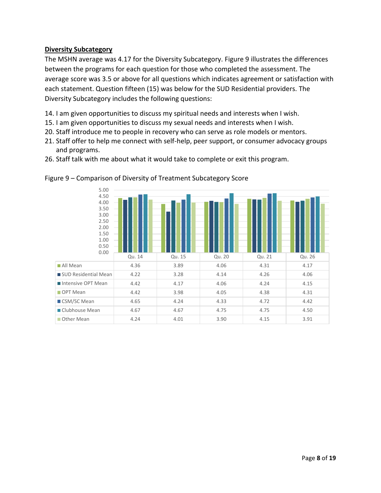#### **Diversity Subcategory**

The MSHN average was 4.17 for the Diversity Subcategory. Figure 9 illustrates the differences between the programs for each question for those who completed the assessment. The average score was 3.5 or above for all questions which indicates agreement or satisfaction with each statement. Question fifteen (15) was below for the SUD Residential providers. The Diversity Subcategory includes the following questions:

- 14. I am given opportunities to discuss my spiritual needs and interests when I wish.
- 15. I am given opportunities to discuss my sexual needs and interests when I wish.
- 20. Staff introduce me to people in recovery who can serve as role models or mentors.
- 21. Staff offer to help me connect with self-help, peer support, or consumer advocacy groups and programs.
- 26. Staff talk with me about what it would take to complete or exit this program.



#### Figure 9 – Comparison of Diversity of Treatment Subcategory Score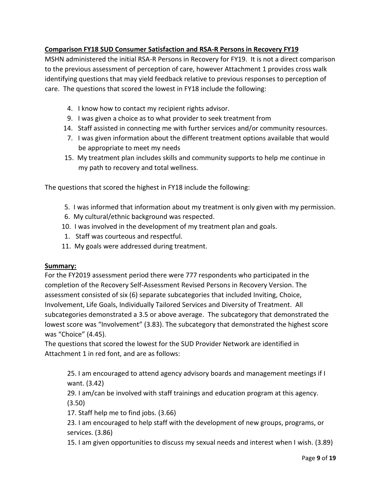# **Comparison FY18 SUD Consumer Satisfaction and RSA-R Persons in Recovery FY19**

MSHN administered the initial RSA-R Persons in Recovery for FY19. It is not a direct comparison to the previous assessment of perception of care, however Attachment 1 provides cross walk identifying questions that may yield feedback relative to previous responses to perception of care. The questions that scored the lowest in FY18 include the following:

- 4. I know how to contact my recipient rights advisor.
- 9. I was given a choice as to what provider to seek treatment from
- 14. Staff assisted in connecting me with further services and/or community resources.
- 7. I was given information about the different treatment options available that would be appropriate to meet my needs
- 15. My treatment plan includes skills and community supports to help me continue in my path to recovery and total wellness.

The questions that scored the highest in FY18 include the following:

- 5. I was informed that information about my treatment is only given with my permission.
- 6. My cultural/ethnic background was respected.
- 10. I was involved in the development of my treatment plan and goals.
- 1. Staff was courteous and respectful.
- 11. My goals were addressed during treatment.

# **Summary:**

For the FY2019 assessment period there were 777 respondents who participated in the completion of the Recovery Self-Assessment Revised Persons in Recovery Version. The assessment consisted of six (6) separate subcategories that included Inviting, Choice, Involvement, Life Goals, Individually Tailored Services and Diversity of Treatment. All subcategories demonstrated a 3.5 or above average. The subcategory that demonstrated the lowest score was "Involvement" (3.83). The subcategory that demonstrated the highest score was "Choice" (4.45).

The questions that scored the lowest for the SUD Provider Network are identified in Attachment 1 in red font, and are as follows:

25. I am encouraged to attend agency advisory boards and management meetings if I want. (3.42)

29. I am/can be involved with staff trainings and education program at this agency. (3.50)

17. Staff help me to find jobs. (3.66)

23. I am encouraged to help staff with the development of new groups, programs, or services. (3.86)

15. I am given opportunities to discuss my sexual needs and interest when I wish. (3.89)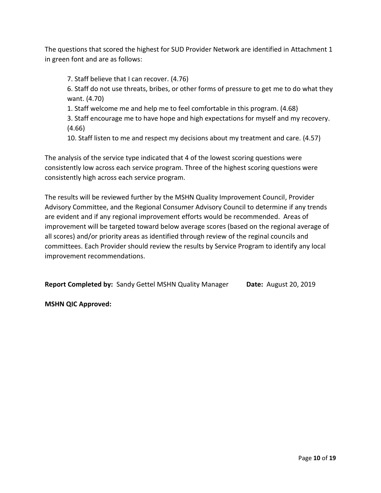The questions that scored the highest for SUD Provider Network are identified in Attachment 1 in green font and are as follows:

7. Staff believe that I can recover. (4.76)

6. Staff do not use threats, bribes, or other forms of pressure to get me to do what they want. (4.70)

1. Staff welcome me and help me to feel comfortable in this program. (4.68)

3. Staff encourage me to have hope and high expectations for myself and my recovery. (4.66)

10. Staff listen to me and respect my decisions about my treatment and care. (4.57)

The analysis of the service type indicated that 4 of the lowest scoring questions were consistently low across each service program. Three of the highest scoring questions were consistently high across each service program.

The results will be reviewed further by the MSHN Quality Improvement Council, Provider Advisory Committee, and the Regional Consumer Advisory Council to determine if any trends are evident and if any regional improvement efforts would be recommended. Areas of improvement will be targeted toward below average scores (based on the regional average of all scores) and/or priority areas as identified through review of the reginal councils and committees. Each Provider should review the results by Service Program to identify any local improvement recommendations.

**Report Completed by:** Sandy Gettel MSHN Quality Manager **Date:** August 20, 2019

**MSHN QIC Approved:**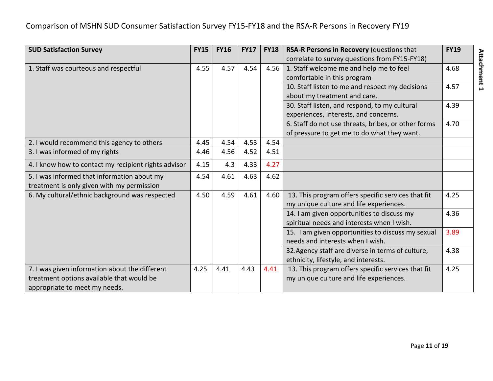| <b>SUD Satisfaction Survey</b>                       | <b>FY15</b> | <b>FY16</b> | <b>FY17</b> | <b>FY18</b> | RSA-R Persons in Recovery (questions that           | <b>FY19</b> |
|------------------------------------------------------|-------------|-------------|-------------|-------------|-----------------------------------------------------|-------------|
|                                                      |             |             |             |             | correlate to survey questions from FY15-FY18)       |             |
| 1. Staff was courteous and respectful                | 4.55        | 4.57        | 4.54        | 4.56        | 1. Staff welcome me and help me to feel             | 4.68        |
|                                                      |             |             |             |             | comfortable in this program                         |             |
|                                                      |             |             |             |             | 10. Staff listen to me and respect my decisions     | 4.57        |
|                                                      |             |             |             |             | about my treatment and care.                        |             |
|                                                      |             |             |             |             | 30. Staff listen, and respond, to my cultural       | 4.39        |
|                                                      |             |             |             |             | experiences, interests, and concerns.               |             |
|                                                      |             |             |             |             | 6. Staff do not use threats, bribes, or other forms | 4.70        |
|                                                      |             |             |             |             | of pressure to get me to do what they want.         |             |
| 2. I would recommend this agency to others           | 4.45        | 4.54        | 4.53        | 4.54        |                                                     |             |
| 3. I was informed of my rights                       | 4.46        | 4.56        | 4.52        | 4.51        |                                                     |             |
| 4. I know how to contact my recipient rights advisor | 4.15        | 4.3         | 4.33        | 4.27        |                                                     |             |
| 5. I was informed that information about my          | 4.54        | 4.61        | 4.63        | 4.62        |                                                     |             |
| treatment is only given with my permission           |             |             |             |             |                                                     |             |
| 6. My cultural/ethnic background was respected       | 4.50        | 4.59        | 4.61        | 4.60        | 13. This program offers specific services that fit  | 4.25        |
|                                                      |             |             |             |             | my unique culture and life experiences.             |             |
|                                                      |             |             |             |             | 14. I am given opportunities to discuss my          | 4.36        |
|                                                      |             |             |             |             | spiritual needs and interests when I wish.          |             |
|                                                      |             |             |             |             | 15. I am given opportunities to discuss my sexual   | 3.89        |
|                                                      |             |             |             |             | needs and interests when I wish.                    |             |
|                                                      |             |             |             |             | 32. Agency staff are diverse in terms of culture,   | 4.38        |
|                                                      |             |             |             |             | ethnicity, lifestyle, and interests.                |             |
| 7. I was given information about the different       | 4.25        | 4.41        | 4.43        | 4.41        | 13. This program offers specific services that fit  | 4.25        |
| treatment options available that would be            |             |             |             |             | my unique culture and life experiences.             |             |
| appropriate to meet my needs.                        |             |             |             |             |                                                     |             |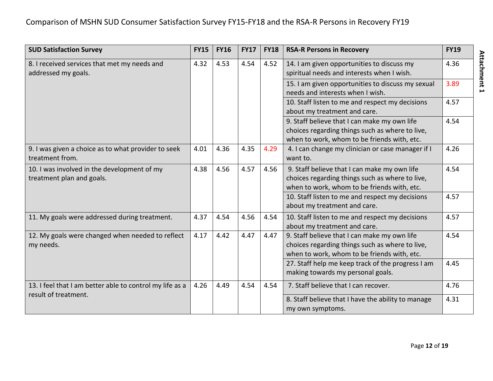| <b>SUD Satisfaction Survey</b>                                           | <b>FY15</b> | <b>FY16</b> | <b>FY17</b> | <b>FY18</b> | <b>RSA-R Persons in Recovery</b>                                                                                                               | <b>FY19</b> |
|--------------------------------------------------------------------------|-------------|-------------|-------------|-------------|------------------------------------------------------------------------------------------------------------------------------------------------|-------------|
| 8. I received services that met my needs and<br>addressed my goals.      | 4.32        | 4.53        | 4.54        | 4.52        | 14. I am given opportunities to discuss my<br>spiritual needs and interests when I wish.                                                       | 4.36        |
|                                                                          |             |             |             |             | 15. I am given opportunities to discuss my sexual<br>needs and interests when I wish.                                                          | 3.89        |
|                                                                          |             |             |             |             | 10. Staff listen to me and respect my decisions<br>about my treatment and care.                                                                | 4.57        |
|                                                                          |             |             |             |             | 9. Staff believe that I can make my own life<br>choices regarding things such as where to live,<br>when to work, whom to be friends with, etc. | 4.54        |
| 9. I was given a choice as to what provider to seek<br>treatment from.   | 4.01        | 4.36        | 4.35        | 4.29        | 4. I can change my clinician or case manager if I<br>want to.                                                                                  | 4.26        |
| 10. I was involved in the development of my<br>treatment plan and goals. | 4.38        | 4.56        | 4.57        | 4.56        | 9. Staff believe that I can make my own life<br>choices regarding things such as where to live,<br>when to work, whom to be friends with, etc. | 4.54        |
|                                                                          |             |             |             |             | 10. Staff listen to me and respect my decisions<br>about my treatment and care.                                                                | 4.57        |
| 11. My goals were addressed during treatment.                            | 4.37        | 4.54        | 4.56        | 4.54        | 10. Staff listen to me and respect my decisions<br>about my treatment and care.                                                                | 4.57        |
| 12. My goals were changed when needed to reflect<br>my needs.            | 4.17        | 4.42        | 4.47        | 4.47        | 9. Staff believe that I can make my own life<br>choices regarding things such as where to live,<br>when to work, whom to be friends with, etc. | 4.54        |
|                                                                          |             |             |             |             | 27. Staff help me keep track of the progress I am<br>making towards my personal goals.                                                         | 4.45        |
| 13. I feel that I am better able to control my life as a                 | 4.26        | 4.49        | 4.54        | 4.54        | 7. Staff believe that I can recover.                                                                                                           | 4.76        |
| result of treatment.                                                     |             |             |             |             | 8. Staff believe that I have the ability to manage<br>my own symptoms.                                                                         | 4.31        |

**Attachment 1**

Attachment 1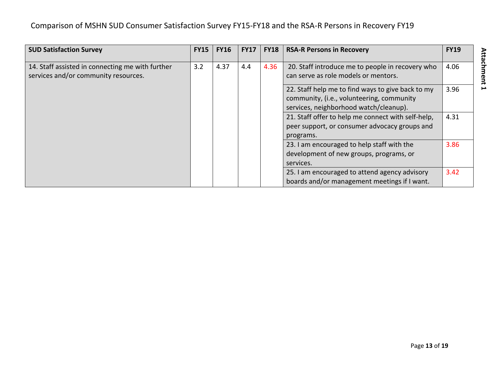| <b>SUD Satisfaction Survey</b>                                                           | <b>FY15</b> | <b>FY16</b> | <b>FY17</b> | <b>FY18</b> | <b>RSA-R Persons in Recovery</b>                                                                                                         | <b>FY19</b> |
|------------------------------------------------------------------------------------------|-------------|-------------|-------------|-------------|------------------------------------------------------------------------------------------------------------------------------------------|-------------|
| 14. Staff assisted in connecting me with further<br>services and/or community resources. | 3.2         | 4.37        | 4.4         | 4.36        | 20. Staff introduce me to people in recovery who<br>can serve as role models or mentors.                                                 | 4.06        |
|                                                                                          |             |             |             |             | 22. Staff help me to find ways to give back to my<br>community, (i.e., volunteering, community<br>services, neighborhood watch/cleanup). | 3.96        |
|                                                                                          |             |             |             |             | 21. Staff offer to help me connect with self-help,<br>peer support, or consumer advocacy groups and<br>programs.                         | 4.31        |
|                                                                                          |             |             |             |             | 23. I am encouraged to help staff with the<br>development of new groups, programs, or<br>services.                                       | 3.86        |
|                                                                                          |             |             |             |             | 25. I am encouraged to attend agency advisory<br>boards and/or management meetings if I want.                                            | 3.42        |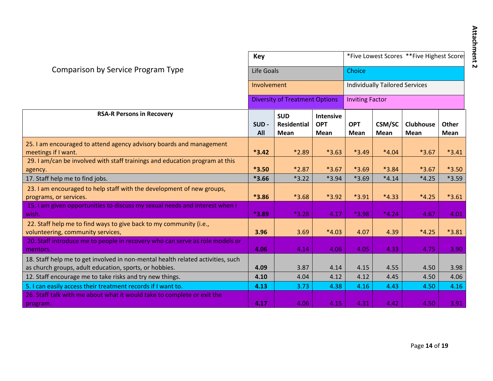|                                                                                                                                           | <b>Key</b>  |                                                 |                                        | *Five Lowest Scores **Five Highest Score<br>Choice |                              |                          |                             |  |  |
|-------------------------------------------------------------------------------------------------------------------------------------------|-------------|-------------------------------------------------|----------------------------------------|----------------------------------------------------|------------------------------|--------------------------|-----------------------------|--|--|
| Comparison by Service Program Type                                                                                                        | Life Goals  |                                                 |                                        |                                                    |                              |                          |                             |  |  |
|                                                                                                                                           | Involvement |                                                 |                                        | <b>Individually Tailored Services</b>              |                              |                          |                             |  |  |
|                                                                                                                                           |             | <b>Diversity of Treatment Options</b>           |                                        | <b>Inviting Factor</b>                             |                              |                          |                             |  |  |
| <b>RSA-R Persons in Recovery</b>                                                                                                          | SUD-<br>All | <b>SUD</b><br><b>Residential</b><br><b>Mean</b> | <b>Intensive</b><br><b>OPT</b><br>Mean | <b>OPT</b><br><b>Mean</b>                          | <b>CSM/SC</b><br><b>Mean</b> | <b>Clubhouse</b><br>Mean | <b>Other</b><br><b>Mean</b> |  |  |
| 25. I am encouraged to attend agency advisory boards and management<br>meetings if I want.                                                | $*3.42$     | *2.89                                           | $*3.63$                                | $*3.49$                                            | $*4.04$                      | $*3.67$                  | $*3.41$                     |  |  |
| 29. I am/can be involved with staff trainings and education program at this<br>agency.                                                    | $*3.50$     | $*2.87$                                         | $*3.67$                                | $*3.69$                                            | *3.84                        | $*3.67$                  | $*3.50$                     |  |  |
| 17. Staff help me to find jobs.                                                                                                           | $*3.66$     | $*3.22$                                         | $*3.94$                                | $*3.69$                                            | $*4.14$                      | $*4.25$                  | *3.59                       |  |  |
| 23. I am encouraged to help staff with the development of new groups,<br>programs, or services.                                           | *3.86       | $*3.68$                                         | *3.92                                  | $*3.91$                                            | $*4.33$                      | $*4.25$                  | $*3.61$                     |  |  |
| 15. I am given opportunities to discuss my sexual needs and interest when I<br>wish.                                                      | $*3.89$     | $*3.28$                                         | 4.17                                   | *3.98                                              | $*4.24$                      | 4.67                     | 4.01                        |  |  |
| 22. Staff help me to find ways to give back to my community (i.e.,<br>volunteering, community services,                                   | 3.96        | 3.69                                            | $*4.03$                                | 4.07                                               | 4.39                         | $*4.25$                  | $*3.81$                     |  |  |
| 20. Staff introduce me to people in recovery who can serve as role models or<br>mentors.                                                  | 4.06        | 4.14                                            | 4.06                                   | 4.05                                               | 4.33                         | 4.75                     | 3.90                        |  |  |
| 18. Staff help me to get involved in non-mental health related activities, such<br>as church groups, adult education, sports, or hobbies. | 4.09        | 3.87                                            | 4.14                                   | 4.15                                               | 4.55                         | 4.50                     | 3.98                        |  |  |
| 12. Staff encourage me to take risks and try new things.                                                                                  | 4.10        | 4.04                                            | 4.12                                   | 4.12                                               | 4.45                         | 4.50                     | 4.06                        |  |  |
| 5. I can easily access their treatment records if I want to.                                                                              | 4.13        | 3.73                                            | 4.38                                   | 4.16                                               | 4.43                         | 4.50                     | 4.16                        |  |  |
| 26. Staff talk with me about what it would take to complete or exit the<br>program.                                                       | 4.17        | 4.06                                            | 4.15                                   | 4.31                                               | 4.42                         | 4.50                     | 3.91                        |  |  |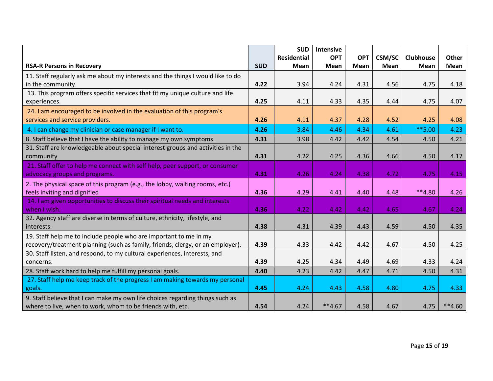|                                                                                 |            | <b>SUD</b>         | <b>Intensive</b> |             |               |                  |          |
|---------------------------------------------------------------------------------|------------|--------------------|------------------|-------------|---------------|------------------|----------|
|                                                                                 |            | <b>Residential</b> | <b>OPT</b>       | <b>OPT</b>  | <b>CSM/SC</b> | <b>Clubhouse</b> | Other    |
| <b>RSA-R Persons in Recovery</b>                                                | <b>SUD</b> | Mean               | Mean             | <b>Mean</b> | <b>Mean</b>   | Mean             | Mean     |
| 11. Staff regularly ask me about my interests and the things I would like to do |            |                    |                  |             |               |                  |          |
| in the community.                                                               | 4.22       | 3.94               | 4.24             | 4.31        | 4.56          | 4.75             | 4.18     |
| 13. This program offers specific services that fit my unique culture and life   |            |                    |                  |             |               |                  |          |
| experiences.                                                                    | 4.25       | 4.11               | 4.33             | 4.35        | 4.44          | 4.75             | 4.07     |
| 24. I am encouraged to be involved in the evaluation of this program's          |            |                    |                  |             |               |                  |          |
| services and service providers.                                                 | 4.26       | 4.11               | 4.37             | 4.28        | 4.52          | 4.25             | 4.08     |
| 4. I can change my clinician or case manager if I want to.                      | 4.26       | 3.84               | 4.46             | 4.34        | 4.61          | $**$ 5.00        | 4.23     |
| 8. Staff believe that I have the ability to manage my own symptoms.             | 4.31       | 3.98               | 4.42             | 4.42        | 4.54          | 4.50             | 4.21     |
| 31. Staff are knowledgeable about special interest groups and activities in the |            |                    |                  |             |               |                  |          |
| community                                                                       | 4.31       | 4.22               | 4.25             | 4.36        | 4.66          | 4.50             | 4.17     |
| 21. Staff offer to help me connect with self help, peer support, or consumer    |            |                    |                  |             |               |                  |          |
| advocacy groups and programs.                                                   | 4.31       | 4.26               | 4.24             | 4.38        | 4.72          | 4.75             | 4.15     |
| 2. The physical space of this program (e.g., the lobby, waiting rooms, etc.)    |            |                    |                  |             |               |                  |          |
| feels inviting and dignified                                                    | 4.36       | 4.29               | 4.41             | 4.40        | 4.48          | $**4.80$         | 4.26     |
| 14. I am given opportunities to discuss their spiritual needs and interests     |            |                    |                  |             |               |                  |          |
| when I wish.                                                                    | 4.36       | 4.22               | 4.42             | 4.42        | 4.65          | 4.67             | 4.24     |
| 32. Agency staff are diverse in terms of culture, ethnicity, lifestyle, and     |            |                    |                  |             |               |                  |          |
| interests.                                                                      | 4.38       | 4.31               | 4.39             | 4.43        | 4.59          | 4.50             | 4.35     |
| 19. Staff help me to include people who are important to me in my               |            |                    |                  |             |               |                  |          |
| recovery/treatment planning (such as family, friends, clergy, or an employer).  | 4.39       | 4.33               | 4.42             | 4.42        | 4.67          | 4.50             | 4.25     |
| 30. Staff listen, and respond, to my cultural experiences, interests, and       |            |                    |                  |             |               |                  |          |
| concerns.                                                                       | 4.39       | 4.25               | 4.34             | 4.49        | 4.69          | 4.33             | 4.24     |
| 28. Staff work hard to help me fulfill my personal goals.                       | 4.40       | 4.23               | 4.42             | 4.47        | 4.71          | 4.50             | 4.31     |
| 27. Staff help me keep track of the progress I am making towards my personal    |            |                    |                  |             |               |                  |          |
| goals.                                                                          | 4.45       | 4.24               | 4.43             | 4.58        | 4.80          | 4.75             | 4.33     |
| 9. Staff believe that I can make my own life choices regarding things such as   |            |                    |                  |             |               |                  |          |
| where to live, when to work, whom to be friends with, etc.                      | 4.54       | 4.24               | $**4.67$         | 4.58        | 4.67          | 4.75             | $**4.60$ |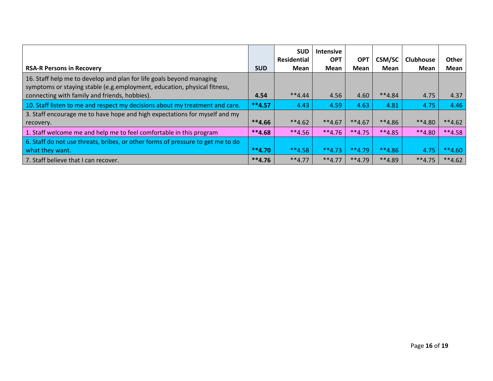|                                                                                                                                                  |            | <b>SUD</b>         | <b>Intensive</b> |            |               |                  |          |
|--------------------------------------------------------------------------------------------------------------------------------------------------|------------|--------------------|------------------|------------|---------------|------------------|----------|
|                                                                                                                                                  |            | <b>Residential</b> | <b>OPT</b>       | <b>OPT</b> | <b>CSM/SC</b> | <b>Clubhouse</b> | Other    |
| <b>RSA-R Persons in Recovery</b>                                                                                                                 | <b>SUD</b> | <b>Mean</b>        | <b>Mean</b>      | Mean       | Mean          | <b>Mean</b>      | Mean     |
| 16. Staff help me to develop and plan for life goals beyond managing<br>symptoms or staying stable (e.g.employment, education, physical fitness, |            |                    |                  |            |               |                  |          |
| connecting with family and friends, hobbies).                                                                                                    | 4.54       | $**4.44$           | 4.56             | 4.60       | $**4.84$      | 4.75             | 4.37     |
| 10. Staff listen to me and respect my decisions about my treatment and care.                                                                     | $**4.57$   | 4.43               | 4.59             | 4.63       | 4.81          | 4.75             | 4.46     |
| 3. Staff encourage me to have hope and high expectations for myself and my                                                                       |            |                    |                  |            |               |                  |          |
| recovery.                                                                                                                                        | $**4.66$   | $**4.62$           | $**4.67$         | $**4.67$   | $**4.86$      | $**4.80$         | $**4.62$ |
| 1. Staff welcome me and help me to feel comfortable in this program                                                                              | $**4.68$   | $**4.56$           | $**4.76$         | $**4.75$   | $**4.85$      | $**4.80$         | $**4.58$ |
| 6. Staff do not use threats, bribes, or other forms of pressure to get me to do                                                                  |            |                    |                  |            |               |                  |          |
| what they want.                                                                                                                                  | $**4.70$   | $**4.58$           | $**4.73$         | $**4.79$   | $**4.86$      | 4.75             | $**4.60$ |
| 7. Staff believe that I can recover.                                                                                                             | $**4.76$   | $**4.77$           | $**4.77$         | $**4.79$   | $**4.89$      | $**4.75$         | $**4.62$ |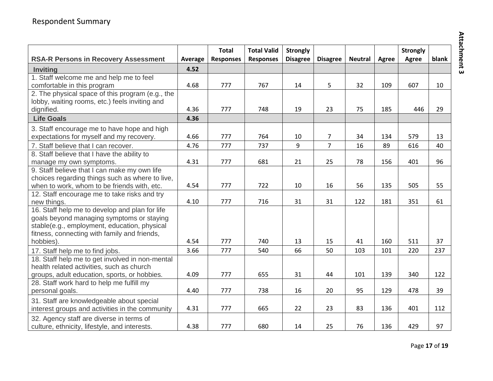|                                                  |         | <b>Total</b>     | <b>Total Valid</b> | <b>Strongly</b> |                 |                |       | <b>Strongly</b> |       |
|--------------------------------------------------|---------|------------------|--------------------|-----------------|-----------------|----------------|-------|-----------------|-------|
| <b>RSA-R Persons in Recovery Assessment</b>      | Average | <b>Responses</b> | <b>Responses</b>   | <b>Disagree</b> | <b>Disagree</b> | <b>Neutral</b> | Agree | Agree           | blank |
| <b>Inviting</b>                                  | 4.52    |                  |                    |                 |                 |                |       |                 |       |
| 1. Staff welcome me and help me to feel          |         |                  |                    |                 |                 |                |       |                 |       |
| comfortable in this program                      | 4.68    | 777              | 767                | 14              | 5               | 32             | 109   | 607             | 10    |
| 2. The physical space of this program (e.g., the |         |                  |                    |                 |                 |                |       |                 |       |
| lobby, waiting rooms, etc.) feels inviting and   |         |                  |                    |                 |                 |                |       |                 |       |
| dignified.                                       | 4.36    | 777              | 748                | 19              | 23              | 75             | 185   | 446             | 29    |
| <b>Life Goals</b>                                | 4.36    |                  |                    |                 |                 |                |       |                 |       |
| 3. Staff encourage me to have hope and high      |         |                  |                    |                 |                 |                |       |                 |       |
| expectations for myself and my recovery.         | 4.66    | 777              | 764                | 10              | $\overline{7}$  | 34             | 134   | 579             | 13    |
| 7. Staff believe that I can recover.             | 4.76    | 777              | 737                | 9               | $\overline{7}$  | 16             | 89    | 616             | 40    |
| 8. Staff believe that I have the ability to      |         |                  |                    |                 |                 |                |       |                 |       |
| manage my own symptoms.                          | 4.31    | 777              | 681                | 21              | 25              | 78             | 156   | 401             | 96    |
| 9. Staff believe that I can make my own life     |         |                  |                    |                 |                 |                |       |                 |       |
| choices regarding things such as where to live,  |         |                  |                    |                 |                 |                |       |                 |       |
| when to work, whom to be friends with, etc.      | 4.54    | 777              | 722                | 10              | 16              | 56             | 135   | 505             | 55    |
| 12. Staff encourage me to take risks and try     |         |                  |                    |                 |                 |                |       |                 |       |
| new things.                                      | 4.10    | 777              | 716                | 31              | 31              | 122            | 181   | 351             | 61    |
| 16. Staff help me to develop and plan for life   |         |                  |                    |                 |                 |                |       |                 |       |
| goals beyond managing symptoms or staying        |         |                  |                    |                 |                 |                |       |                 |       |
| stable(e.g., employment, education, physical     |         |                  |                    |                 |                 |                |       |                 |       |
| fitness, connecting with family and friends,     |         |                  |                    |                 |                 |                |       |                 |       |
| hobbies).                                        | 4.54    | 777              | 740                | 13              | 15              | 41             | 160   | 511             | 37    |
| 17. Staff help me to find jobs.                  | 3.66    | 777              | 540                | 66              | 50              | 103            | 101   | 220             | 237   |
| 18. Staff help me to get involved in non-mental  |         |                  |                    |                 |                 |                |       |                 |       |
| health related activities, such as church        |         |                  |                    |                 |                 |                |       |                 |       |
| groups, adult education, sports, or hobbies.     | 4.09    | 777              | 655                | 31              | 44              | 101            | 139   | 340             | 122   |
| 28. Staff work hard to help me fulfill my        |         |                  |                    |                 |                 |                |       |                 |       |
| personal goals.                                  | 4.40    | 777              | 738                | 16              | 20              | 95             | 129   | 478             | 39    |
| 31. Staff are knowledgeable about special        |         |                  |                    |                 |                 |                |       |                 |       |
| interest groups and activities in the community  | 4.31    | 777              | 665                | 22              | 23              | 83             | 136   | 401             | 112   |
| 32. Agency staff are diverse in terms of         |         |                  |                    |                 |                 |                |       |                 |       |
| culture, ethnicity, lifestyle, and interests.    | 4.38    | 777              | 680                | 14              | 25              | 76             | 136   | 429             | 97    |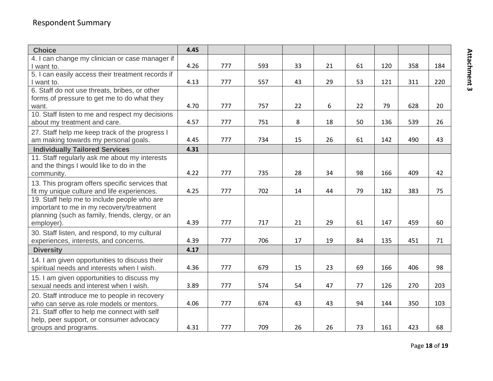# Respondent Summary

| <b>Choice</b>                                                                            | 4.45 |     |     |    |    |    |     |     |     |
|------------------------------------------------------------------------------------------|------|-----|-----|----|----|----|-----|-----|-----|
| 4. I can change my clinician or case manager if                                          |      |     |     |    |    |    |     |     |     |
| I want to.                                                                               | 4.26 | 777 | 593 | 33 | 21 | 61 | 120 | 358 | 184 |
| 5. I can easily access their treatment records if                                        |      |     |     |    |    |    |     |     |     |
| I want to.                                                                               | 4.13 | 777 | 557 | 43 | 29 | 53 | 121 | 311 | 220 |
| 6. Staff do not use threats, bribes, or other                                            |      |     |     |    |    |    |     |     |     |
| forms of pressure to get me to do what they                                              |      |     |     |    |    |    |     |     |     |
| want.                                                                                    | 4.70 | 777 | 757 | 22 | 6  | 22 | 79  | 628 | 20  |
| 10. Staff listen to me and respect my decisions                                          |      |     |     |    |    |    |     |     |     |
| about my treatment and care.                                                             | 4.57 | 777 | 751 | 8  | 18 | 50 | 136 | 539 | 26  |
| 27. Staff help me keep track of the progress I                                           |      |     |     |    |    |    |     |     |     |
| am making towards my personal goals.                                                     | 4.45 | 777 | 734 | 15 | 26 | 61 | 142 | 490 | 43  |
| <b>Individually Tailored Services</b>                                                    | 4.31 |     |     |    |    |    |     |     |     |
| 11. Staff regularly ask me about my interests                                            |      |     |     |    |    |    |     |     |     |
| and the things I would like to do in the                                                 |      |     |     |    |    |    |     |     |     |
| community.                                                                               | 4.22 | 777 | 735 | 28 | 34 | 98 | 166 | 409 | 42  |
| 13. This program offers specific services that                                           |      |     |     |    |    |    |     |     |     |
| fit my unique culture and life experiences.                                              | 4.25 | 777 | 702 | 14 | 44 | 79 | 182 | 383 | 75  |
| 19. Staff help me to include people who are                                              |      |     |     |    |    |    |     |     |     |
| important to me in my recovery/treatment                                                 |      |     |     |    |    |    |     |     |     |
| planning (such as family, friends, clergy, or an                                         |      |     |     |    |    |    |     |     |     |
| employer).                                                                               | 4.39 | 777 | 717 | 21 | 29 | 61 | 147 | 459 | 60  |
| 30. Staff listen, and respond, to my cultural                                            |      |     |     |    |    |    |     |     |     |
| experiences, interests, and concerns.                                                    | 4.39 | 777 | 706 | 17 | 19 | 84 | 135 | 451 | 71  |
| <b>Diversity</b>                                                                         | 4.17 |     |     |    |    |    |     |     |     |
| 14. I am given opportunities to discuss their                                            |      |     |     |    |    |    |     |     |     |
| spiritual needs and interests when I wish.                                               | 4.36 | 777 | 679 | 15 | 23 | 69 | 166 | 406 | 98  |
| 15. I am given opportunities to discuss my                                               |      |     |     |    |    |    |     |     |     |
| sexual needs and interest when I wish.                                                   | 3.89 | 777 | 574 | 54 | 47 | 77 | 126 | 270 | 203 |
|                                                                                          |      |     |     |    |    |    |     |     |     |
| 20. Staff introduce me to people in recovery<br>who can serve as role models or mentors. | 4.06 | 777 | 674 | 43 | 43 | 94 | 144 | 350 | 103 |
| 21. Staff offer to help me connect with self                                             |      |     |     |    |    |    |     |     |     |
| help, peer support, or consumer advocacy                                                 |      |     |     |    |    |    |     |     |     |
| groups and programs.                                                                     | 4.31 | 777 | 709 | 26 | 26 | 73 | 161 | 423 | 68  |
|                                                                                          |      |     |     |    |    |    |     |     |     |